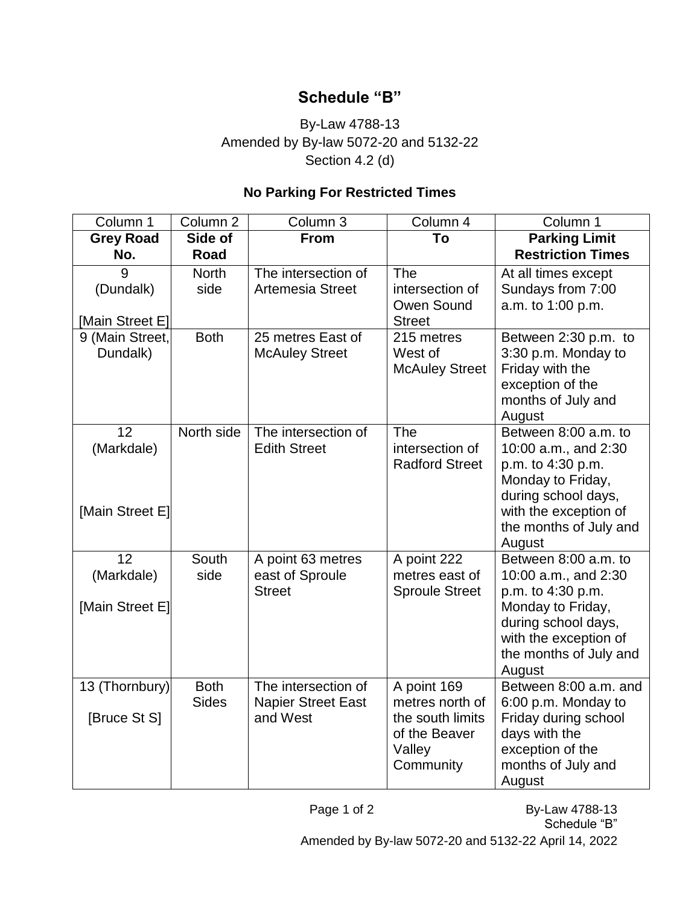## **Schedule "B"**

## By-Law 4788-13 Amended by By-law 5072-20 and 5132-22 Section 4.2 (d)

## **No Parking For Restricted Times**

| Column 1                                         | Column <sub>2</sub>         | Column 3                                                     | Column 4                                                                                   | Column 1                                                                                                                                                                   |
|--------------------------------------------------|-----------------------------|--------------------------------------------------------------|--------------------------------------------------------------------------------------------|----------------------------------------------------------------------------------------------------------------------------------------------------------------------------|
| <b>Grey Road</b><br>No.                          | Side of<br>Road             | <b>From</b>                                                  | To                                                                                         | <b>Parking Limit</b><br><b>Restriction Times</b>                                                                                                                           |
| 9<br>(Dundalk)<br>[Main Street E]                | <b>North</b><br>side        | The intersection of<br>Artemesia Street                      | <b>The</b><br>intersection of<br>Owen Sound<br><b>Street</b>                               | At all times except<br>Sundays from 7:00<br>a.m. to 1:00 p.m.                                                                                                              |
| 9 (Main Street,<br>Dundalk)                      | <b>Both</b>                 | 25 metres East of<br><b>McAuley Street</b>                   | 215 metres<br>West of<br><b>McAuley Street</b>                                             | Between 2:30 p.m. to<br>3:30 p.m. Monday to<br>Friday with the<br>exception of the<br>months of July and<br>August                                                         |
| 12<br>(Markdale)<br>[Main Street E]              | North side                  | The intersection of<br><b>Edith Street</b>                   | The<br>intersection of<br><b>Radford Street</b>                                            | Between 8:00 a.m. to<br>10:00 a.m., and 2:30<br>p.m. to 4:30 p.m.<br>Monday to Friday,<br>during school days,<br>with the exception of<br>the months of July and<br>August |
| $1\overline{2}$<br>(Markdale)<br>[Main Street E] | South<br>side               | A point 63 metres<br>east of Sproule<br><b>Street</b>        | A point 222<br>metres east of<br><b>Sproule Street</b>                                     | Between 8:00 a.m. to<br>10:00 a.m., and 2:30<br>p.m. to 4:30 p.m.<br>Monday to Friday,<br>during school days,<br>with the exception of<br>the months of July and<br>August |
| 13 (Thornbury)<br>[Bruce St S]                   | <b>Both</b><br><b>Sides</b> | The intersection of<br><b>Napier Street East</b><br>and West | A point 169<br>metres north of<br>the south limits<br>of the Beaver<br>Valley<br>Community | Between 8:00 a.m. and<br>6:00 p.m. Monday to<br>Friday during school<br>days with the<br>exception of the<br>months of July and<br>August                                  |